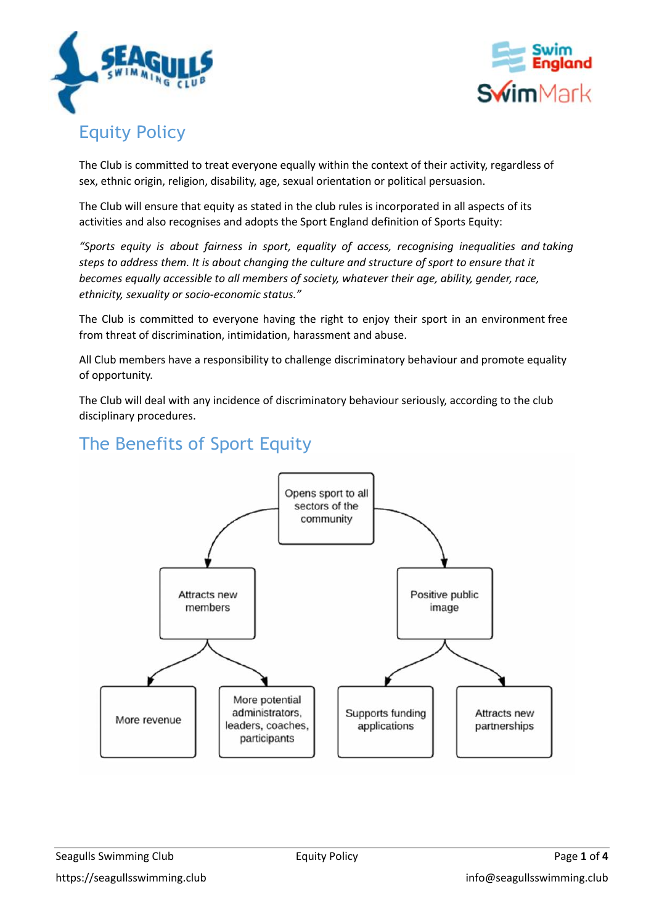



# Equity Policy

The Club is committed to treat everyone equally within the context of their activity, regardless of sex, ethnic origin, religion, disability, age, sexual orientation or political persuasion.

The Club will ensure that equity as stated in the club rules is incorporated in all aspects of its activities and also recognises and adopts the Sport England definition of Sports Equity:

*"Sports equity is about fairness in sport, equality of access, recognising inequalities and taking steps to address them. It is about changing the culture and structure of sport to ensure that it becomes equally accessible to all members of society, whatever their age, ability, gender, race, ethnicity, sexuality or socio-economic status."*

The Club is committed to everyone having the right to enjoy their sport in an environment free from threat of discrimination, intimidation, harassment and abuse.

All Club members have a responsibility to challenge discriminatory behaviour and promote equality of opportunity.

The Club will deal with any incidence of discriminatory behaviour seriously, according to the club disciplinary procedures.



# The Benefits of Sport Equity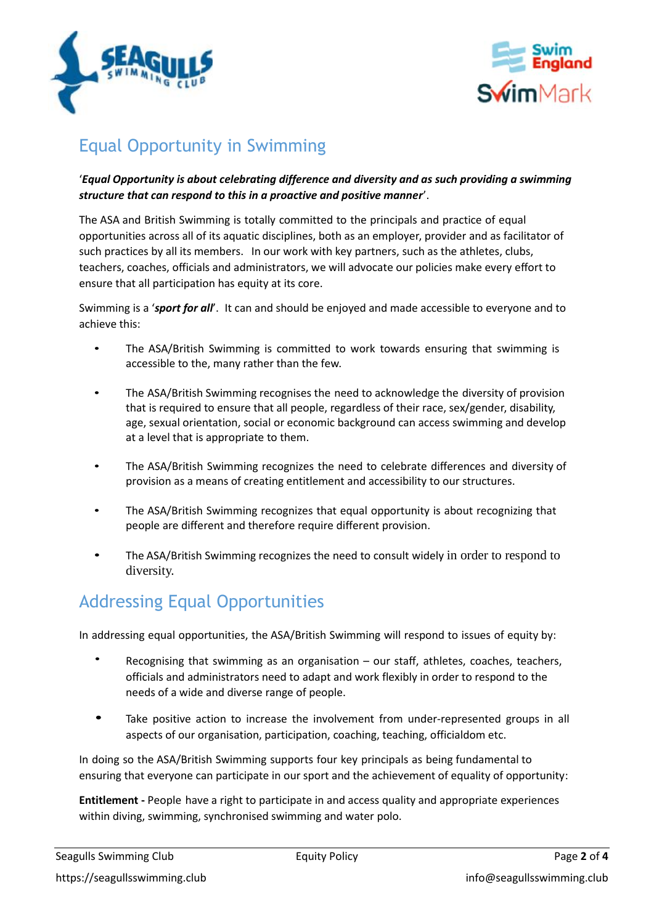



# Equal Opportunity in Swimming

### '*Equal Opportunity is about celebrating difference and diversity and as such providing a swimming structure that can respond to this in a proactive and positive manner*'.

The ASA and British Swimming is totally committed to the principals and practice of equal opportunities across all of its aquatic disciplines, both as an employer, provider and as facilitator of such practices by all its members. In our work with key partners, such as the athletes, clubs, teachers, coaches, officials and administrators, we will advocate our policies make every effort to ensure that all participation has equity at its core.

Swimming is a '*sport for all*'. It can and should be enjoyed and made accessible to everyone and to achieve this:

- The ASA/British Swimming is committed to work towards ensuring that swimming is accessible to the, many rather than the few.
- The ASA/British Swimming recognises the need to acknowledge the diversity of provision that is required to ensure that all people, regardless of their race, sex/gender, disability, age, sexual orientation, social or economic background can access swimming and develop at a level that is appropriate to them.
- The ASA/British Swimming recognizes the need to celebrate differences and diversity of provision as a means of creating entitlement and accessibility to our structures.
- The ASA/British Swimming recognizes that equal opportunity is about recognizing that people are different and therefore require different provision.
- The ASA/British Swimming recognizes the need to consult widely in order to respond to diversity.

## Addressing Equal Opportunities

In addressing equal opportunities, the ASA/British Swimming will respond to issues of equity by:

- Recognising that swimming as an organisation our staff, athletes, coaches, teachers, officials and administrators need to adapt and work flexibly in order to respond to the needs of a wide and diverse range of people.
- Take positive action to increase the involvement from under-represented groups in all aspects of our organisation, participation, coaching, teaching, officialdom etc.

In doing so the ASA/British Swimming supports four key principals as being fundamental to ensuring that everyone can participate in our sport and the achievement of equality of opportunity:

**Entitlement -** People have a right to participate in and access quality and appropriate experiences within diving, swimming, synchronised swimming and water polo.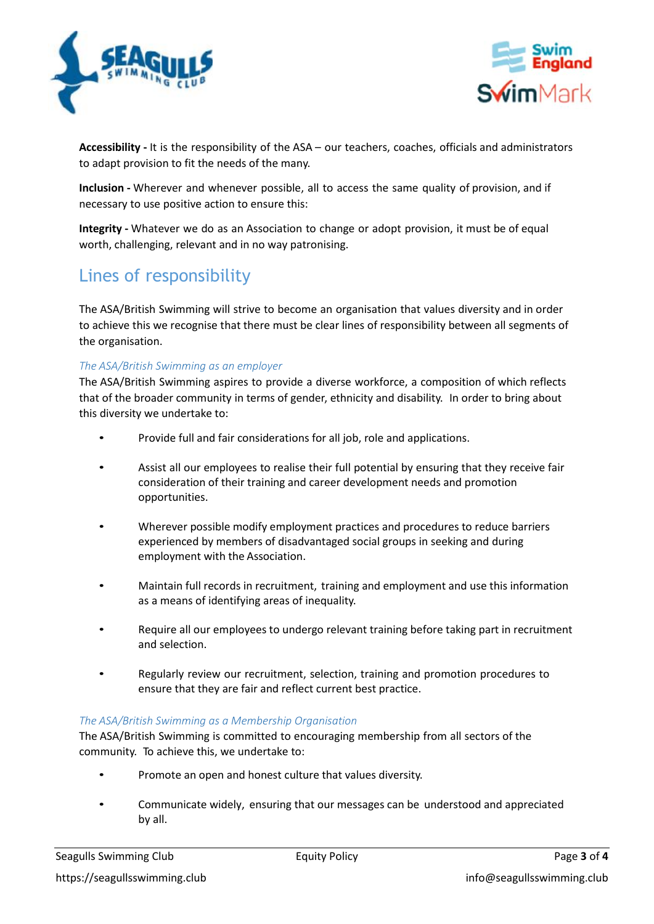



**Accessibility -** It is the responsibility of the ASA – our teachers, coaches, officials and administrators to adapt provision to fit the needs of the many.

**Inclusion -** Wherever and whenever possible, all to access the same quality of provision, and if necessary to use positive action to ensure this:

**Integrity -** Whatever we do as an Association to change or adopt provision, it must be of equal worth, challenging, relevant and in no way patronising.

## Lines of responsibility

The ASA/British Swimming will strive to become an organisation that values diversity and in order to achieve this we recognise that there must be clear lines of responsibility between all segments of the organisation.

### *The ASA/British Swimming as an employer*

The ASA/British Swimming aspires to provide a diverse workforce, a composition of which reflects that of the broader community in terms of gender, ethnicity and disability. In order to bring about this diversity we undertake to:

- Provide full and fair considerations for all job, role and applications.
- Assist all our employees to realise their full potential by ensuring that they receive fair consideration of their training and career development needs and promotion opportunities.
- Wherever possible modify employment practices and procedures to reduce barriers experienced by members of disadvantaged social groups in seeking and during employment with the Association.
- Maintain full records in recruitment, training and employment and use this information as a means of identifying areas of inequality.
- Require all our employees to undergo relevant training before taking part in recruitment and selection.
- Regularly review our recruitment, selection, training and promotion procedures to ensure that they are fair and reflect current best practice.

### *The ASA/British Swimming as a Membership Organisation*

The ASA/British Swimming is committed to encouraging membership from all sectors of the community. To achieve this, we undertake to:

- Promote an open and honest culture that values diversity.
- Communicate widely, ensuring that our messages can be understood and appreciated by all.